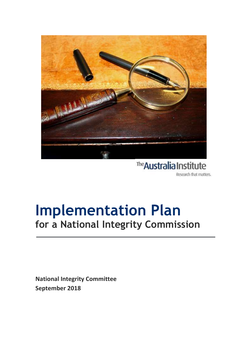

The Australia Institute Research that matters.

### **Implementation Plan for a National Integrity Commission** l

**National Integrity Committee September 2018**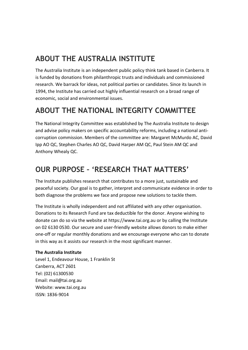### **ABOUT THE AUSTRALIA INSTITUTE**

The Australia Institute is an independent public policy think tank based in Canberra. It is funded by donations from philanthropic trusts and individuals and commissioned research. We barrack for ideas, not political parties or candidates. Since its launch in 1994, the Institute has carried out highly influential research on a broad range of economic, social and environmental issues.

### **ABOUT THE NATIONAL INTEGRITY COMMITTEE**

The National Integrity Committee was established by The Australia Institute to design and advise policy makers on specific accountability reforms, including a national anticorruption commission. Members of the committee are: Margaret McMurdo AC, David Ipp AO QC, Stephen Charles AO QC, David Harper AM QC, Paul Stein AM QC and Anthony Whealy QC.

### **OUR PURPOSE – 'RESEARCH THAT MATTERS'**

The Institute publishes research that contributes to a more just, sustainable and peaceful society. Our goal is to gather, interpret and communicate evidence in order to both diagnose the problems we face and propose new solutions to tackle them.

The Institute is wholly independent and not affiliated with any other organisation. Donations to its Research Fund are tax deductible for the donor. Anyone wishing to donate can do so via the website at https://www.tai.org.au or by calling the Institute on 02 6130 0530. Our secure and user-friendly website allows donors to make either one-off or regular monthly donations and we encourage everyone who can to donate in this way as it assists our research in the most significant manner.

#### **The Australia Institute**

Level 1, Endeavour House, 1 Franklin St Canberra, ACT 2601 Tel: (02) 61300530 Email: mail@tai.org.au Website: www.tai.org.au ISSN: 1836-9014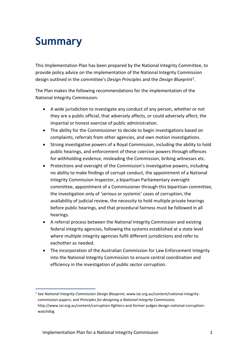## <span id="page-2-0"></span>**Summary**

This Implementation Plan has been prepared by the National Integrity Committee, to provide policy advice on the implementation of the National Integrity Commission design outlined in the committee's *Design Principles* and the *Design Blueprint<sup>1</sup>* .

The Plan makes the following recommendations for the implementation of the National Integrity Commission:

- A wide jurisdiction to investigate any conduct of any person, whether or not they are a public official, that adversely affects, or could adversely affect, the impartial or honest exercise of public administration.
- The ability for the Commissioner to decide to begin investigations based on complaints, referrals from other agencies, and own motion investigations.
- Strong investigative powers of a Royal Commission, including the ability to hold public hearings, and enforcement of these coercive powers through offences for withholding evidence, misleading the Commission, bribing witnesses etc.
- Protections and oversight of the Commission's investigative powers, including no ability to make findings of corrupt conduct, the appointment of a National Integrity Commission Inspector, a bipartisan Parliamentary oversight committee, appointment of a Commissioner through this bipartisan committee, the investigation only of 'serious or systemic' cases of corruption, the availability of judicial review, the necessity to hold multiple private hearings before public hearings, and that procedural fairness must be followed in all hearings.
- A referral process between the National Integrity Commission and existing federal integrity agencies, following the systems established at a state level where multiple integrity agencies fulfil different jurisdictions and refer to eachother as needed.
- The incorporation of the Australian Commission for Law Enforcement Integrity into the National Integrity Commission to ensure central coordination and efficiency in the investigation of public sector corruption.

<sup>1</sup> 1 See *National Integrity Commission Design Blueprint,* [www.tai.org.au/content/national-integrity](http://www.tai.org.au/content/national-integrity-commission-papers)[commission-papers;](http://www.tai.org.au/content/national-integrity-commission-papers) and *Principles for designing a National Integrity Commission,*  http://www.tai.org.au/content/corruption-fighters-and-former-judges-design-national-corruptionwatchdog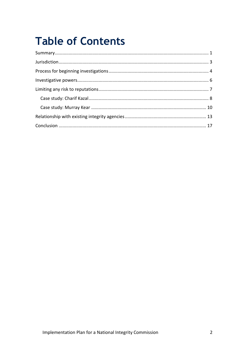# **Table of Contents**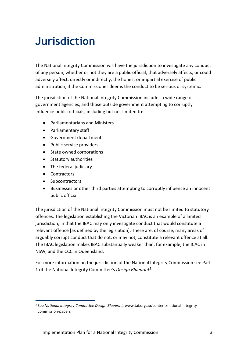# <span id="page-4-0"></span>**Jurisdiction**

The National Integrity Commission will have the jurisdiction to investigate any conduct of any person, whether or not they are a public official, that adversely affects, or could adversely affect, directly or indirectly, the honest or impartial exercise of public administration, if the Commissioner deems the conduct to be serious or systemic.

The jurisdiction of the National Integrity Commission includes a wide range of government agencies, and those outside government attempting to corruptly influence public officials, including but not limited to:

- Parliamentarians and Ministers
- Parliamentary staff
- Government departments
- Public service providers
- State owned corporations
- Statutory authorities
- The federal judiciary
- Contractors

1

- Subcontractors
- Businesses or other third parties attempting to corruptly influence an innocent public official

The jurisdiction of the National Integrity Commission must not be limited to statutory offences. The legislation establishing the Victorian IBAC is an example of a limited jurisdiction, in that the IBAC may only investigate conduct that would constitute a relevant offence [as defined by the legislation]. There are, of course, many areas of arguably corrupt conduct that do not, or may not, constitute a relevant offence at all. The IBAC legislation makes IBAC substantially weaker than, for example, the ICAC in NSW, and the CCC in Queensland.

For more information on the jurisdiction of the National Integrity Commission see Part 1 of the National Integrity Committee's *Design Blueprint<sup>2</sup>* .

<sup>2</sup> See *National Integrity Committee Design Blueprint,* www.tai.org.au/content/national-integritycommission-papers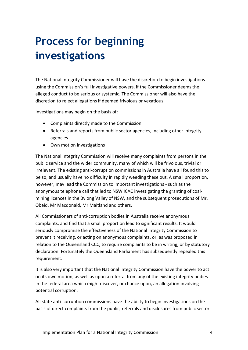# <span id="page-5-0"></span>**Process for beginning investigations**

The National Integrity Commissioner will have the discretion to begin investigations using the Commission's full investigative powers, if the Commissioner deems the alleged conduct to be serious or systemic. The Commissioner will also have the discretion to reject allegations if deemed frivolous or vexatious.

Investigations may begin on the basis of:

- Complaints directly made to the Commission
- Referrals and reports from public sector agencies, including other integrity agencies
- Own motion investigations

The National Integrity Commission will receive many complaints from persons in the public service and the wider community, many of which will be frivolous, trivial or irrelevant. The existing anti-corruption commissions in Australia have all found this to be so, and usually have no difficulty in rapidly weeding these out. A small proportion, however, may lead the Commission to important investigations - such as the anonymous telephone call that led to NSW ICAC investigating the granting of coalmining licences in the Bylong Valley of NSW, and the subsequent prosecutions of Mr. Obeid, Mr Macdonald, Mr Maitland and others.

All Commissioners of anti-corruption bodies in Australia receive anonymous complaints, and find that a small proportion lead to significant results. It would seriously compromise the effectiveness of the National Integrity Commission to prevent it receiving, or acting on anonymous complaints, or, as was proposed in relation to the Queensland CCC, to require complaints to be in writing, or by statutory declaration. Fortunately the Queensland Parliament has subsequently repealed this requirement.

It is also very important that the National Integrity Commission have the power to act on its own motion, as well as upon a referral from any of the existing integrity bodies in the federal area which might discover, or chance upon, an allegation involving potential corruption.

All state anti-corruption commissions have the ability to begin investigations on the basis of direct complaints from the public, referrals and disclosures from public sector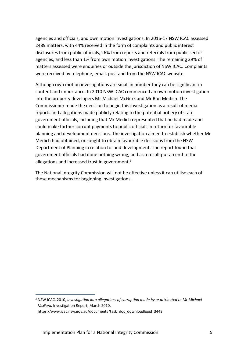agencies and officials, and own motion investigations. In 2016-17 NSW ICAC assessed 2489 matters, with 44% received in the form of complaints and public interest disclosures from public officials, 26% from reports and referrals from public sector agencies, and less than 1% from own motion investigations. The remaining 29% of matters assessed were enquiries or outside the jurisdiction of NSW ICAC. Complaints were received by telephone, email, post and from the NSW ICAC website.

Although own motion investigations are small in number they can be significant in content and importance. In 2010 NSW ICAC commenced an own motion investigation into the property developers Mr Michael McGurk and Mr Ron Medich. The Commissioner made the decision to begin this investigation as a result of media reports and allegations made publicly relating to the potential bribery of state government officials, including that Mr Medich represented that he had made and could make further corrupt payments to public officials in return for favourable planning and development decisions. The investigation aimed to establish whether Mr Medich had obtained, or sought to obtain favourable decisions from the NSW Department of Planning in relation to land development. The report found that government officials had done nothing wrong, and as a result put an end to the allegations and increased trust in government. $3$ 

The National Integrity Commission will not be effective unless it can utilise each of these mechanisms for beginning investigations.

<sup>3</sup> NSW ICAC, 2010, *Investigation into allegations of corruption made by or attributed to Mr Michael McGurk,* Investigation Report, March 2010,

https://www.icac.nsw.gov.au/documents?task=doc\_download&gid=3443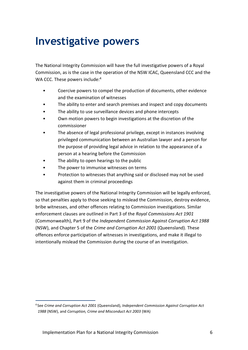### <span id="page-7-0"></span>**Investigative powers**

The National Integrity Commission will have the full investigative powers of a Royal Commission, as is the case in the operation of the NSW ICAC, Queensland CCC and the WA CCC. These powers include:<sup>4</sup>

- Coercive powers to compel the production of documents, other evidence and the examination of witnesses
- The ability to enter and search premises and inspect and copy documents
- The ability to use surveillance devices and phone intercepts
- Own motion powers to begin investigations at the discretion of the commissioner
- The absence of legal professional privilege, except in instances involving privileged communication between an Australian lawyer and a person for the purpose of providing legal advice in relation to the appearance of a person at a hearing before the Commission
- The ability to open hearings to the public
- The power to immunise witnesses on terms
- Protection to witnesses that anything said or disclosed may not be used against them in criminal proceedings

The investigative powers of the National Integrity Commission will be legally enforced, so that penalties apply to those seeking to mislead the Commission, destroy evidence, bribe witnesses, and other offences relating to Commission investigations. Similar enforcement clauses are outlined in Part 3 of the *Royal Commissions Act 1901* (Commonwealth), Part 9 of the *Independent Commission Against Corruption Act 1988* (NSW), and Chapter 5 of the *Crime and Corruption Act 2001* (Queensland). These offences enforce participation of witnesses in investigations, and make it illegal to intentionally mislead the Commission during the course of an investigation.

<sup>4</sup> See *Crime and Corruption Act 2001* (Queensland), *Independent Commission Against Corruption Act 1988* (NSW), and *Corruption, Crime and Misconduct Act 2003* (WA)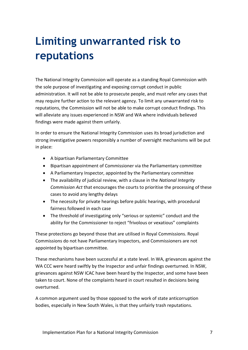# <span id="page-8-0"></span>**Limiting unwarranted risk to reputations**

The National Integrity Commission will operate as a standing Royal Commission with the sole purpose of investigating and exposing corrupt conduct in public administration. It will not be able to prosecute people, and must refer any cases that may require further action to the relevant agency. To limit any unwarranted risk to reputations, the Commission will not be able to make corrupt conduct findings. This will alleviate any issues experienced in NSW and WA where individuals believed findings were made against them unfairly.

In order to ensure the National Integrity Commission uses its broad jurisdiction and strong investigative powers responsibly a number of oversight mechanisms will be put in place:

- A bipartisan Parliamentary Committee
- Bipartisan appointment of Commissioner via the Parliamentary committee
- A Parliamentary Inspector, appointed by the Parliamentary committee
- The availability of judicial review, with a clause in the *National Integrity Commission Act* that encourages the courts to prioritise the processing of these cases to avoid any lengthy delays
- The necessity for private hearings before public hearings, with procedural fairness followed in each case
- The threshold of investigating only "serious or systemic" conduct and the ability for the Commissioner to reject "frivolous or vexatious" complaints

These protections go beyond those that are utilised in Royal Commissions. Royal Commissions do not have Parliamentary Inspectors, and Commissioners are not appointed by bipartisan committee.

These mechanisms have been successful at a state level. In WA, grievances against the WA CCC were heard swiftly by the Inspector and unfair findings overturned. In NSW, grievances against NSW ICAC have been heard by the Inspector, and some have been taken to court. None of the complaints heard in court resulted in decisions being overturned.

A common argument used by those opposed to the work of state anticorruption bodies, especially in New South Wales, is that they unfairly trash reputations.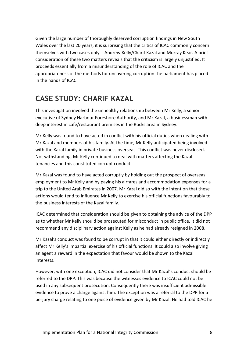Given the large number of thoroughly deserved corruption findings in New South Wales over the last 20 years, it is surprising that the critics of ICAC commonly concern themselves with two cases only - Andrew Kelly/Charif Kazal and Murray Kear. A brief consideration of these two matters reveals that the criticism is largely unjustified. It proceeds essentially from a misunderstanding of the role of ICAC and the appropriateness of the methods for uncovering corruption the parliament has placed in the hands of ICAC.

### <span id="page-9-0"></span>**CASE STUDY: CHARIF KAZAL**

This investigation involved the unhealthy relationship between Mr Kelly, a senior executive of Sydney Harbour Foreshore Authority, and Mr Kazal, a businessman with deep interest in cafe/restaurant premises in the Rocks area in Sydney.

Mr Kelly was found to have acted in conflict with his official duties when dealing with Mr Kazal and members of his family. At the time, Mr Kelly anticipated being involved with the Kazal family in private business overseas. This conflict was never disclosed. Not withstanding, Mr Kelly continued to deal with matters affecting the Kazal tenancies and this constituted corrupt conduct.

Mr Kazal was found to have acted corruptly by holding out the prospect of overseas employment to Mr Kelly and by paying his airfares and accommodation expenses for a trip to the United Arab Emirates in 2007. Mr Kazal did so with the intention that these actions would tend to influence Mr Kelly to exercise his official functions favourably to the business interests of the Kazal family.

ICAC determined that consideration should be given to obtaining the advice of the DPP as to whether Mr Kelly should be prosecuted for misconduct in public office. It did not recommend any disciplinary action against Kelly as he had already resigned in 2008.

Mr Kazal's conduct was found to be corrupt in that it could either directly or indirectly affect Mr Kelly's impartial exercise of his official functions. It could also involve giving an agent a reward in the expectation that favour would be shown to the Kazal interests.

However, with one exception, ICAC did not consider that Mr Kazal's conduct should be referred to the DPP. This was because the witnesses evidence to ICAC could not be used in any subsequent prosecution. Consequently there was insufficient admissible evidence to prove a charge against him. The exception was a referral to the DPP for a perjury charge relating to one piece of evidence given by Mr Kazal. He had told ICAC he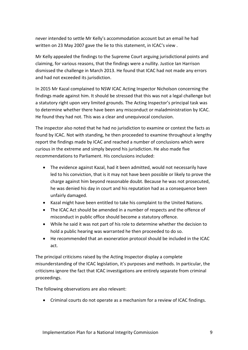never intended to settle Mr Kelly's accommodation account but an email he had written on 23 May 2007 gave the lie to this statement, in ICAC's view .

Mr Kelly appealed the findings to the Supreme Court arguing jurisdictional points and claiming, for various reasons, that the findings were a nullity. Justice Ian Harrison dismissed the challenge in March 2013. He found that ICAC had not made any errors and had not exceeded its jurisdiction.

In 2015 Mr Kazal complained to NSW ICAC Acting Inspector Nicholson concerning the findings made against him. It should be stressed that this was not a legal challenge but a statutory right upon very limited grounds. The Acting Inspector's principal task was to determine whether there have been any misconduct or maladministration by ICAC. He found they had not. This was a clear and unequivocal conclusion.

The inspector also noted that he had no jurisdiction to examine or contest the facts as found by ICAC. Not with standing, he then proceeded to examine throughout a lengthy report the findings made by ICAC and reached a number of conclusions which were curious in the extreme and simply beyond his jurisdiction. He also made five recommendations to Parliament. His conclusions included:

- The evidence against Kazal, had it been admitted, would not necessarily have led to his conviction, that is it may not have been possible or likely to prove the charge against him beyond reasonable doubt. Because he was not prosecuted, he was denied his day in court and his reputation had as a consequence been unfairly damaged.
- Kazal might have been entitled to take his complaint to the United Nations.
- The ICAC Act should be amended in a number of respects and the offence of misconduct in public office should become a statutory offence.
- While he said it was not part of his role to determine whether the decision to hold a public hearing was warranted he then proceeded to do so.
- He recommended that an exoneration protocol should be included in the ICAC act.

The principal criticisms raised by the Acting Inspector display a complete misunderstanding of the ICAC legislation, it's purposes and methods. In particular, the criticisms ignore the fact that ICAC investigations are entirely separate from criminal proceedings.

The following observations are also relevant:

Criminal courts do not operate as a mechanism for a review of ICAC findings.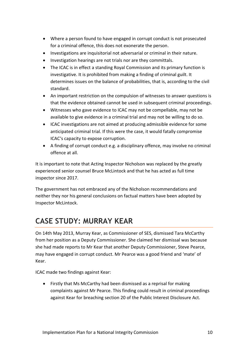- Where a person found to have engaged in corrupt conduct is not prosecuted for a criminal offence, this does not exonerate the person.
- Investigations are inquisitorial not adversarial or criminal in their nature.
- Investigation hearings are not trials nor are they committals.
- The ICAC is in effect a standing Royal Commission and its primary function is investigative. It is prohibited from making a finding of criminal guilt. It determines issues on the balance of probabilities, that is, according to the civil standard.
- An important restriction on the compulsion of witnesses to answer questions is that the evidence obtained cannot be used in subsequent criminal proceedings.
- Witnesses who gave evidence to ICAC may not be compellable, may not be available to give evidence in a criminal trial and may not be willing to do so.
- ICAC investigations are not aimed at producing admissible evidence for some anticipated criminal trial. If this were the case, it would fatally compromise ICAC's capacity to expose corruption.
- A finding of corrupt conduct e.g. a disciplinary offence, may involve no criminal offence at all.

It is important to note that Acting Inspector Nicholson was replaced by the greatly experienced senior counsel Bruce McLintock and that he has acted as full time inspector since 2017.

The government has not embraced any of the Nicholson recommendations and neither they nor his general conclusions on factual matters have been adopted by Inspector McLintock.

### <span id="page-11-0"></span>**CASE STUDY: MURRAY KEAR**

On 14th May 2013, Murray Kear, as Commissioner of SES, dismissed Tara McCarthy from her position as a Deputy Commissioner. She claimed her dismissal was because she had made reports to Mr Kear that another Deputy Commissioner, Steve Pearce, may have engaged in corrupt conduct. Mr Pearce was a good friend and 'mate' of Kear.

ICAC made two findings against Kear:

 Firstly that Ms McCarthy had been dismissed as a reprisal for making complaints against Mr Pearce. This finding could result in criminal proceedings against Kear for breaching section 20 of the Public Interest Disclosure Act.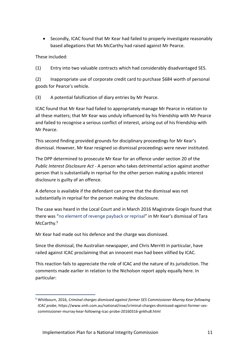• Secondly, ICAC found that Mr Kear had failed to properly investigate reasonably based allegations that Ms McCarthy had raised against Mr Pearce.

These included:

1

(1) Entry into two valuable contracts which had considerably disadvantaged SES.

(2) Inappropriate use of corporate credit card to purchase \$684 worth of personal goods for Pearce's vehicle.

(3) A potential falsification of diary entries by Mr Pearce.

ICAC found that Mr Kear had failed to appropriately manage Mr Pearce in relation to all these matters; that Mr Kear was unduly influenced by his friendship with Mr Pearce and failed to recognise a serious conflict of interest, arising out of his friendship with Mr Pearce.

This second finding provided grounds for disciplinary proceedings for Mr Kear's dismissal. However, Mr Kear resigned so dismissal proceedings were never instituted.

The DPP determined to prosecute Mr Kear for an offence under section 20 of the *Public Interest Disclosure Act* - A person who takes detrimental action against another person that is substantially in reprisal for the other person making a public interest disclosure is guilty of an offence.

A defence is available if the defendant can prove that the dismissal was not substantially in reprisal for the person making the disclosure.

The case was heard in the Local Court and in March 2016 Magistrate Grogin found that there was "no element of revenge payback or reprisal" in Mr Kear's dismissal of Tara McCarthy.<sup>5</sup>

Mr Kear had made out his defence and the charge was dismissed.

Since the dismissal, the Australian newspaper, and Chris Merritt in particular, have railed against ICAC proclaiming that an innocent man had been vilified by ICAC.

This reaction fails to appreciate the role of ICAC and the nature of its jurisdiction. The comments made earlier in relation to the Nicholson report apply equally here. In particular:

<sup>5</sup> Whitbourn, 2016, *Criminal charges dismissed against former SES Commissioner Murray Kear following ICAC probe*, [https://www.smh.com.au/national/nsw/criminal-charges-dismissed-against-former-ses](https://www.smh.com.au/national/nsw/criminal-charges-dismissed-against-former-ses-commissioner-murray-kear-following-icac-probe-20160316-gnkhu8.html)[commissioner-murray-kear-following-icac-probe-20160316-gnkhu8.html](https://www.smh.com.au/national/nsw/criminal-charges-dismissed-against-former-ses-commissioner-murray-kear-following-icac-probe-20160316-gnkhu8.html)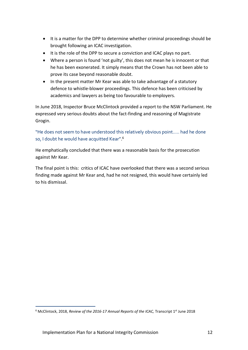- It is a matter for the DPP to determine whether criminal proceedings should be brought following an ICAC investigation.
- It is the role of the DPP to secure a conviction and ICAC plays no part.
- Where a person is found 'not guilty', this does not mean he is innocent or that he has been exonerated. It simply means that the Crown has not been able to prove its case beyond reasonable doubt.
- In the present matter Mr Kear was able to take advantage of a statutory defence to whistle-blower proceedings. This defence has been criticised by academics and lawyers as being too favourable to employers.

In June 2018, Inspector Bruce McClintock provided a report to the NSW Parliament. He expressed very serious doubts about the fact-finding and reasoning of Magistrate Grogin.

"He does not seem to have understood this relatively obvious point….. had he done so, I doubt he would have acquitted Kear".<sup>6</sup>

He emphatically concluded that there was a reasonable basis for the prosecution against Mr Kear.

The final point is this: critics of ICAC have overlooked that there was a second serious finding made against Mr Kear and, had he not resigned, this would have certainly led to his dismissal.

<sup>&</sup>lt;sup>6</sup> McClintock, 2018, *Review of the 2016-17 Annual Reports of the ICAC*, Transcript 1<sup>st</sup> June 2018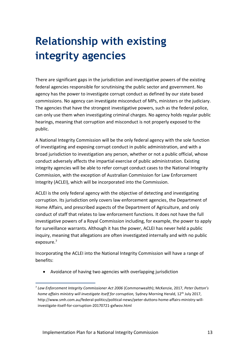# <span id="page-14-0"></span>**Relationship with existing integrity agencies**

There are significant gaps in the jurisdiction and investigative powers of the existing federal agencies responsible for scrutinising the public sector and government. No agency has the power to investigate corrupt conduct as defined by our state based commissions. No agency can investigate misconduct of MPs, ministers or the judiciary. The agencies that have the strongest investigative powers, such as the federal police, can only use them when investigating criminal charges. No agency holds regular public hearings, meaning that corruption and misconduct is not properly exposed to the public.

A National Integrity Commission will be the only federal agency with the sole function of investigating and exposing corrupt conduct in public administration, and with a broad jurisdiction to investigation any person, whether or not a public official, whose conduct adversely affects the impartial exercise of public administration. Existing integrity agencies will be able to refer corrupt conduct cases to the National Integrity Commission, with the exception of Australian Commission for Law Enforcement Integrity (ACLEI), which will be incorporated into the Commission.

ACLEI is the only federal agency with the objective of detecting and investigating corruption. Its jurisdiction only covers law enforcement agencies, the Department of Home Affairs, and prescribed aspects of the Department of Agriculture, and only conduct of staff that relates to law enforcement functions. It does not have the full investigative powers of a Royal Commission including, for example, the power to apply for surveillance warrants. Although it has the power, ACLEI has never held a public inquiry, meaning that allegations are often investigated internally and with no public exposure.<sup>7</sup>

Incorporating the ACLEI into the National Integrity Commission will have a range of benefits:

Avoidance of having two agencies with overlapping jurisdiction

<sup>7</sup> *Law Enforcement Integrity Commissioner Act 2006* (Commonwealth); McKenzie, 2017, *Peter Dutton's home affairs ministry will investigate itself for corruption.* Sydney Morning Herald, 12<sup>th</sup> July 2017, [http://www.smh.com.au/federal-politics/political-news/peter-duttons-home-affairs-ministry-will](http://www.smh.com.au/federal-politics/political-news/peter-duttons-home-affairs-ministry-will-investigate-itself-for-corruption-20170721-gxfwov.html)[investigate-itself-for-corruption-20170721-gxfwov.html](http://www.smh.com.au/federal-politics/political-news/peter-duttons-home-affairs-ministry-will-investigate-itself-for-corruption-20170721-gxfwov.html)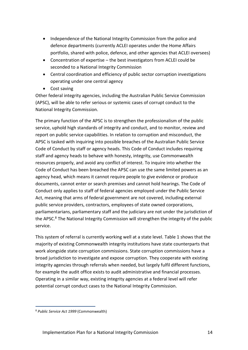- Independence of the National Integrity Commission from the police and defence departments (currently ACLEI operates under the Home Affairs portfolio, shared with police, defence, and other agencies that ACLEI oversees)
- Concentration of expertise the best investigators from ACLEI could be seconded to a National Integrity Commission
- Central coordination and efficiency of public sector corruption investigations operating under one central agency
- Cost saving

Other federal integrity agencies, including the Australian Public Service Commission (APSC), will be able to refer serious or systemic cases of corrupt conduct to the National Integrity Commission.

The primary function of the APSC is to strengthen the professionalism of the public service, uphold high standards of integrity and conduct, and to monitor, review and report on public service capabilities. In relation to corruption and misconduct, the APSC is tasked with inquiring into possible breaches of the Australian Public Service Code of Conduct by staff or agency heads. This Code of Conduct includes requiring staff and agency heads to behave with honesty, integrity, use Commonwealth resources properly, and avoid any conflict of interest. To inquire into whether the Code of Conduct has been breached the APSC can use the same limited powers as an agency head, which means it cannot require people to give evidence or produce documents, cannot enter or search premises and cannot hold hearings. The Code of Conduct only applies to staff of federal agencies employed under the Public Service Act, meaning that arms of federal government are not covered, including external public service providers, contractors, employees of state owned corporations, parliamentarians, parliamentary staff and the judiciary are not under the jurisdiction of the APSC.<sup>8</sup> The National Integrity Commission will strengthen the integrity of the public service.

This system of referral is currently working well at a state level. Table 1 shows that the majority of existing Commonwealth integrity institutions have state counterparts that work alongside state corruption commissions. State corruption commissions have a broad jurisdiction to investigate and expose corruption. They cooperate with existing integrity agencies through referrals when needed, but largely fulfil different functions, for example the audit office exists to audit administrative and financial processes. Operating in a similar way, existing integrity agencies at a federal level will refer potential corrupt conduct cases to the National Integrity Commission.

<sup>8</sup> *Public Service Act 1999* (Commonwealth)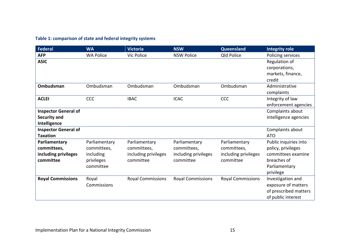#### **Table 1: comparison of state and federal integrity systems**

| <b>Federal</b>              | <b>WA</b>        | <b>Victoria</b>          | <b>NSW</b>               | Queensland               | <b>Integrity role</b> |
|-----------------------------|------------------|--------------------------|--------------------------|--------------------------|-----------------------|
| <b>AFP</b>                  | <b>WA Police</b> | Vic Police               | <b>NSW Police</b>        | Qld Police               | Policing services     |
| <b>ASIC</b>                 |                  |                          |                          |                          | Regulation of         |
|                             |                  |                          |                          |                          | corporations,         |
|                             |                  |                          |                          |                          | markets, finance,     |
|                             |                  |                          |                          |                          | credit                |
| Ombudsman                   | Ombudsman        | Ombudsman                | Ombudsman                | Ombudsman                | Administrative        |
|                             |                  |                          |                          |                          | complaints            |
| <b>ACLEI</b>                | <b>CCC</b>       | <b>IBAC</b>              | <b>ICAC</b>              | <b>CCC</b>               | Integrity of law      |
|                             |                  |                          |                          |                          | enforcement agencies  |
| <b>Inspector General of</b> |                  |                          |                          |                          | Complaints about      |
| Security and                |                  |                          |                          |                          | intelligence agencies |
| Intelligence                |                  |                          |                          |                          |                       |
| <b>Inspector General of</b> |                  |                          |                          |                          | Complaints about      |
| <b>Taxation</b>             |                  |                          |                          |                          | <b>ATO</b>            |
| Parliamentary               | Parliamentary    | Parliamentary            | Parliamentary            | Parliamentary            | Public inquiries into |
| committees,                 | committees,      | committees,              | committees,              | committees,              | policy, privileges    |
| including privileges        | including        | including privileges     | including privileges     | including privileges     | committees examine    |
| committee                   | privileges       | committee                | committee                | committee                | breaches of           |
|                             | committee        |                          |                          |                          | Parliamentary         |
|                             |                  |                          |                          |                          | privilege             |
| <b>Royal Commissions</b>    | Royal            | <b>Royal Commissions</b> | <b>Royal Commissions</b> | <b>Royal Commissions</b> | Investigation and     |
|                             | Commissions      |                          |                          |                          | exposure of matters   |
|                             |                  |                          |                          |                          | of prescribed matters |
|                             |                  |                          |                          |                          | of public interest    |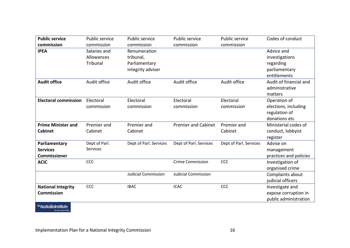| <b>Public service</b><br>commission                                                  | <b>Public service</b><br>commission    | Public service<br>commission                                    | Public service<br>commission | Public service<br>commission | Codes of conduct                                                           |
|--------------------------------------------------------------------------------------|----------------------------------------|-----------------------------------------------------------------|------------------------------|------------------------------|----------------------------------------------------------------------------|
| <b>IPEA</b>                                                                          | Salaries and<br>Allowances<br>Tribunal | Renumeration<br>tribunal,<br>Parliamentary<br>integrity adviser |                              |                              | Advice and<br>investigations<br>regarding<br>parliamentary<br>entitlements |
| <b>Audit office</b>                                                                  | Audit office                           | Audit office                                                    | Audit office                 | Audit office                 | Audit of financial and<br>administrative<br>matters                        |
| <b>Electoral commission</b>                                                          | Electoral<br>commission                | Electoral<br>commission                                         | Electoral<br>commission      | Electoral<br>commission      | Operation of<br>elections, including<br>regulation of<br>donations etc     |
| <b>Prime Minister and</b><br><b>Cabinet</b>                                          | Premier and<br>Cabinet                 | Premier and<br>Cabinet                                          | <b>Premier and Cabinet</b>   | Premier and<br>Cabinet       | Ministerial codes of<br>conduct, lobbyist<br>register                      |
| Parliamentary<br><b>Services</b><br><b>Commissioner</b>                              | Dept of Parl.<br><b>Services</b>       | Dept of Parl. Services                                          | Dept of Parl. Services       | Dept of Parl. Services       | Advise on<br>management<br>practices and policies                          |
| <b>ACIC</b>                                                                          | CCC                                    |                                                                 | <b>Crime Commission</b>      | CCC                          | Investigation of<br>organised crime                                        |
|                                                                                      |                                        | <b>Judicial Commission</b>                                      | <b>Judicial Commission</b>   |                              | Complaints about<br>judicial officers                                      |
| <b>National Integrity</b><br><b>Commission</b><br><sup>11</sup> *Australia Institute | CCC                                    | <b>IBAC</b>                                                     | <b>ICAC</b>                  | CCC                          | Investigate and<br>expose corruption in<br>public administration           |

**Broad fail rates**